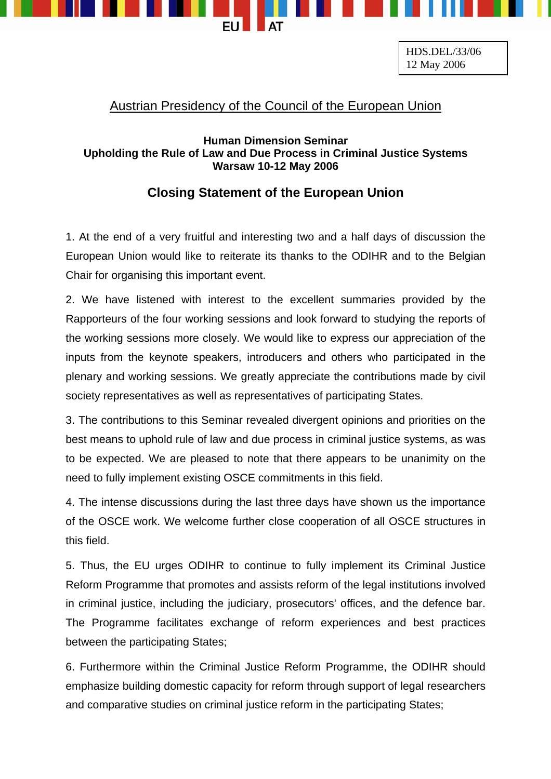

HDS.DEL/33/06 12 May 2006

## Austrian Presidency of the Council of the European Union

## **Human Dimension Seminar Upholding the Rule of Law and Due Process in Criminal Justice Systems Warsaw 10-12 May 2006**

## **Closing Statement of the European Union**

1. At the end of a very fruitful and interesting two and a half days of discussion the European Union would like to reiterate its thanks to the ODIHR and to the Belgian Chair for organising this important event.

2. We have listened with interest to the excellent summaries provided by the Rapporteurs of the four working sessions and look forward to studying the reports of the working sessions more closely. We would like to express our appreciation of the inputs from the keynote speakers, introducers and others who participated in the plenary and working sessions. We greatly appreciate the contributions made by civil society representatives as well as representatives of participating States.

3. The contributions to this Seminar revealed divergent opinions and priorities on the best means to uphold rule of law and due process in criminal justice systems, as was to be expected. We are pleased to note that there appears to be unanimity on the need to fully implement existing OSCE commitments in this field.

4. The intense discussions during the last three days have shown us the importance of the OSCE work. We welcome further close cooperation of all OSCE structures in this field.

5. Thus, the EU urges ODIHR to continue to fully implement its Criminal Justice Reform Programme that promotes and assists reform of the legal institutions involved in criminal justice, including the judiciary, prosecutors' offices, and the defence bar. The Programme facilitates exchange of reform experiences and best practices between the participating States;

6. Furthermore within the Criminal Justice Reform Programme, the ODIHR should emphasize building domestic capacity for reform through support of legal researchers and comparative studies on criminal justice reform in the participating States;